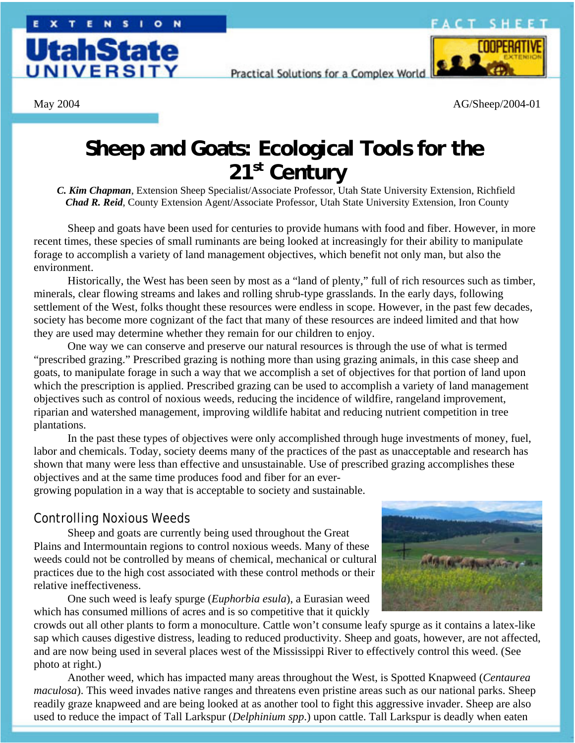## **ACT SHEET**



Practical Solutions for a Complex World



May 2004 AG/Sheep/2004-01

# **Sheep and Goats: Ecological Tools for the 21st Century**

*C. Kim Chapman*, Extension Sheep Specialist/Associate Professor, Utah State University Extension, Richfield *Chad R. Reid*, County Extension Agent/Associate Professor, Utah State University Extension, Iron County

Sheep and goats have been used for centuries to provide humans with food and fiber. However, in more recent times, these species of small ruminants are being looked at increasingly for their ability to manipulate forage to accomplish a variety of land management objectives, which benefit not only man, but also the environment.

Historically, the West has been seen by most as a "land of plenty," full of rich resources such as timber, minerals, clear flowing streams and lakes and rolling shrub-type grasslands. In the early days, following settlement of the West, folks thought these resources were endless in scope. However, in the past few decades, society has become more cognizant of the fact that many of these resources are indeed limited and that how they are used may determine whether they remain for our children to enjoy.

One way we can conserve and preserve our natural resources is through the use of what is termed "prescribed grazing." Prescribed grazing is nothing more than using grazing animals, in this case sheep and goats, to manipulate forage in such a way that we accomplish a set of objectives for that portion of land upon which the prescription is applied. Prescribed grazing can be used to accomplish a variety of land management objectives such as control of noxious weeds, reducing the incidence of wildfire, rangeland improvement, riparian and watershed management, improving wildlife habitat and reducing nutrient competition in tree plantations.

In the past these types of objectives were only accomplished through huge investments of money, fuel, labor and chemicals. Today, society deems many of the practices of the past as unacceptable and research has shown that many were less than effective and unsustainable. Use of prescribed grazing accomplishes these objectives and at the same time produces food and fiber for an ever-

growing population in a way that is acceptable to society and sustainable.

## Controlling Noxious Weeds

Sheep and goats are currently being used throughout the Great Plains and Intermountain regions to control noxious weeds. Many of these weeds could not be controlled by means of chemical, mechanical or cultural practices due to the high cost associated with these control methods or their relative ineffectiveness.

One such weed is leafy spurge (*Euphorbia esula*), a Eurasian weed which has consumed millions of acres and is so competitive that it quickly



crowds out all other plants to form a monoculture. Cattle won't consume leafy spurge as it contains a latex-like sap which causes digestive distress, leading to reduced productivity. Sheep and goats, however, are not affected, and are now being used in several places west of the Mississippi River to effectively control this weed. (See photo at right.)

Another weed, which has impacted many areas throughout the West, is Spotted Knapweed (*Centaurea maculosa*). This weed invades native ranges and threatens even pristine areas such as our national parks. Sheep readily graze knapweed and are being looked at as another tool to fight this aggressive invader. Sheep are also used to reduce the impact of Tall Larkspur (*Delphinium spp*.) upon cattle. Tall Larkspur is deadly when eaten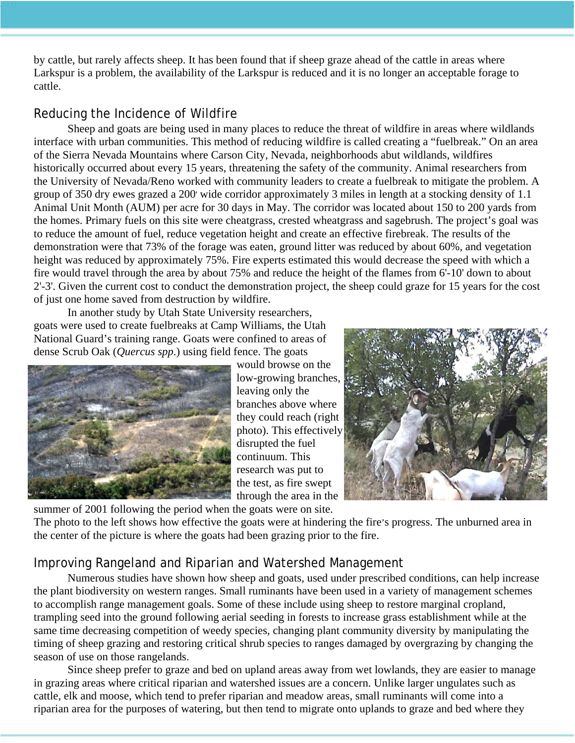by cattle, but rarely affects sheep. It has been found that if sheep graze ahead of the cattle in areas where Larkspur is a problem, the availability of the Larkspur is reduced and it is no longer an acceptable forage to cattle.

# Reducing the Incidence of Wildfire

Sheep and goats are being used in many places to reduce the threat of wildfire in areas where wildlands interface with urban communities. This method of reducing wildfire is called creating a "fuelbreak." On an area of the Sierra Nevada Mountains where Carson City, Nevada, neighborhoods abut wildlands, wildfires historically occurred about every 15 years, threatening the safety of the community. Animal researchers from the University of Nevada/Reno worked with community leaders to create a fuelbreak to mitigate the problem. A group of 350 dry ewes grazed a 200' wide corridor approximately 3 miles in length at a stocking density of 1.1 Animal Unit Month (AUM) per acre for 30 days in May. The corridor was located about 150 to 200 yards from the homes. Primary fuels on this site were cheatgrass, crested wheatgrass and sagebrush. The project's goal was to reduce the amount of fuel, reduce vegetation height and create an effective firebreak. The results of the demonstration were that 73% of the forage was eaten, ground litter was reduced by about 60%, and vegetation height was reduced by approximately 75%. Fire experts estimated this would decrease the speed with which a fire would travel through the area by about 75% and reduce the height of the flames from 6'-10' down to about 2'-3'. Given the current cost to conduct the demonstration project, the sheep could graze for 15 years for the cost of just one home saved from destruction by wildfire.

In another study by Utah State University researchers, goats were used to create fuelbreaks at Camp Williams, the Utah National Guard's training range. Goats were confined to areas of dense Scrub Oak (*Quercus spp*.) using field fence. The goats



would browse on the low-growing branches, leaving only the branches above where they could reach (right photo). This effectively disrupted the fuel continuum. This research was put to the test, as fire swept through the area in the



summer of 2001 following the period when the goats were on site.

The photo to the left shows how effective the goats were at hindering the fire's progress. The unburned area in the center of the picture is where the goats had been grazing prior to the fire.

# Improving Rangeland and Riparian and Watershed Management

Numerous studies have shown how sheep and goats, used under prescribed conditions, can help increase the plant biodiversity on western ranges. Small ruminants have been used in a variety of management schemes to accomplish range management goals. Some of these include using sheep to restore marginal cropland, trampling seed into the ground following aerial seeding in forests to increase grass establishment while at the same time decreasing competition of weedy species, changing plant community diversity by manipulating the timing of sheep grazing and restoring critical shrub species to ranges damaged by overgrazing by changing the season of use on those rangelands.

Since sheep prefer to graze and bed on upland areas away from wet lowlands, they are easier to manage in grazing areas where critical riparian and watershed issues are a concern. Unlike larger ungulates such as cattle, elk and moose, which tend to prefer riparian and meadow areas, small ruminants will come into a riparian area for the purposes of watering, but then tend to migrate onto uplands to graze and bed where they